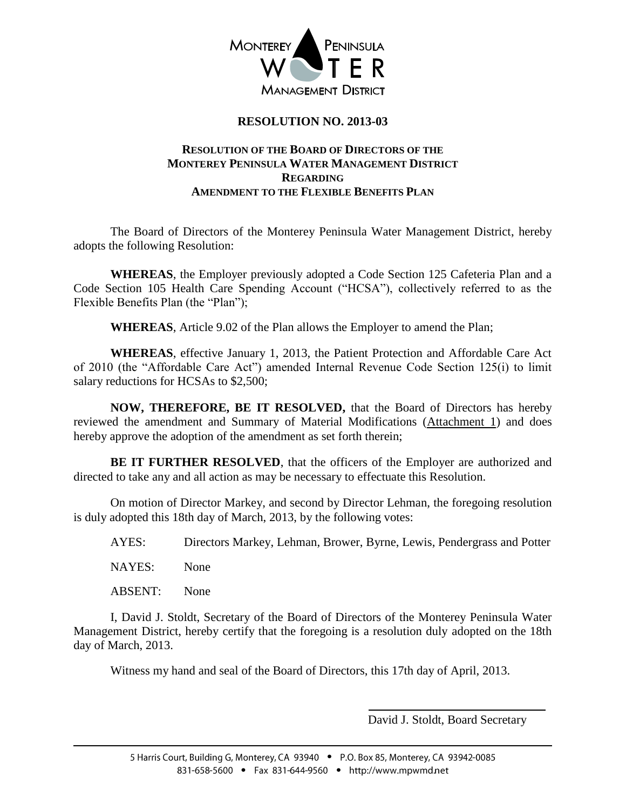

## **RESOLUTION NO. 2013-03**

#### **RESOLUTION OF THE BOARD OF DIRECTORS OF THE MONTEREY PENINSULA WATER MANAGEMENT DISTRICT REGARDING AMENDMENT TO THE FLEXIBLE BENEFITS PLAN**

The Board of Directors of the Monterey Peninsula Water Management District, hereby adopts the following Resolution:

**WHEREAS**, the Employer previously adopted a Code Section 125 Cafeteria Plan and a Code Section 105 Health Care Spending Account ("HCSA"), collectively referred to as the Flexible Benefits Plan (the "Plan");

**WHEREAS**, Article 9.02 of the Plan allows the Employer to amend the Plan;

**WHEREAS**, effective January 1, 2013, the Patient Protection and Affordable Care Act of 2010 (the "Affordable Care Act") amended Internal Revenue Code Section 125(i) to limit salary reductions for HCSAs to \$2,500;

**NOW, THEREFORE, BE IT RESOLVED,** that the Board of Directors has hereby reviewed the amendment and Summary of Material Modifications (Attachment 1) and does hereby approve the adoption of the amendment as set forth therein;

**BE IT FURTHER RESOLVED**, that the officers of the Employer are authorized and directed to take any and all action as may be necessary to effectuate this Resolution.

On motion of Director Markey, and second by Director Lehman, the foregoing resolution is duly adopted this 18th day of March, 2013, by the following votes:

AYES: Directors Markey, Lehman, Brower, Byrne, Lewis, Pendergrass and Potter NAYES: None

ABSENT: None

I, David J. Stoldt, Secretary of the Board of Directors of the Monterey Peninsula Water Management District, hereby certify that the foregoing is a resolution duly adopted on the 18th day of March, 2013.

Witness my hand and seal of the Board of Directors, this 17th day of April, 2013.

David J. Stoldt, Board Secretary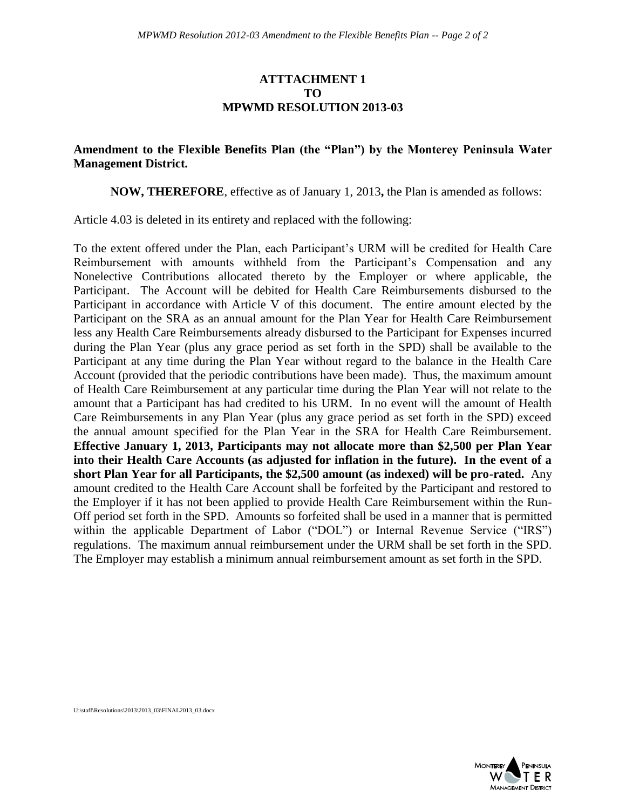#### **ATTTACHMENT 1 TO MPWMD RESOLUTION 2013-03**

### **Amendment to the Flexible Benefits Plan (the "Plan") by the Monterey Peninsula Water Management District.**

**NOW, THEREFORE**, effective as of January 1, 2013**,** the Plan is amended as follows:

Article 4.03 is deleted in its entirety and replaced with the following:

To the extent offered under the Plan, each Participant's URM will be credited for Health Care Reimbursement with amounts withheld from the Participant's Compensation and any Nonelective Contributions allocated thereto by the Employer or where applicable, the Participant. The Account will be debited for Health Care Reimbursements disbursed to the Participant in accordance with Article V of this document. The entire amount elected by the Participant on the SRA as an annual amount for the Plan Year for Health Care Reimbursement less any Health Care Reimbursements already disbursed to the Participant for Expenses incurred during the Plan Year (plus any grace period as set forth in the SPD) shall be available to the Participant at any time during the Plan Year without regard to the balance in the Health Care Account (provided that the periodic contributions have been made). Thus, the maximum amount of Health Care Reimbursement at any particular time during the Plan Year will not relate to the amount that a Participant has had credited to his URM. In no event will the amount of Health Care Reimbursements in any Plan Year (plus any grace period as set forth in the SPD) exceed the annual amount specified for the Plan Year in the SRA for Health Care Reimbursement. **Effective January 1, 2013, Participants may not allocate more than \$2,500 per Plan Year into their Health Care Accounts (as adjusted for inflation in the future). In the event of a short Plan Year for all Participants, the \$2,500 amount (as indexed) will be pro-rated.** Any amount credited to the Health Care Account shall be forfeited by the Participant and restored to the Employer if it has not been applied to provide Health Care Reimbursement within the Run-Off period set forth in the SPD. Amounts so forfeited shall be used in a manner that is permitted within the applicable Department of Labor ("DOL") or Internal Revenue Service ("IRS") regulations. The maximum annual reimbursement under the URM shall be set forth in the SPD. The Employer may establish a minimum annual reimbursement amount as set forth in the SPD.